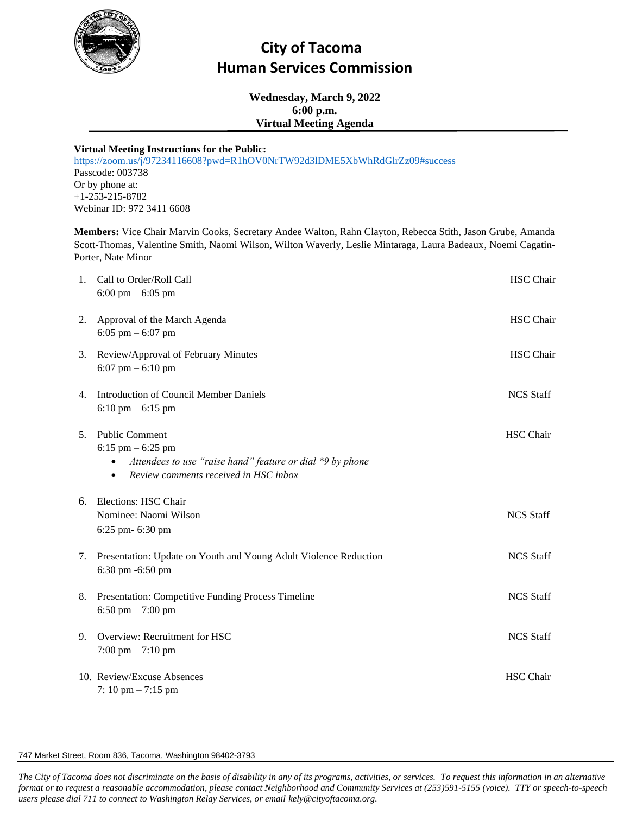

## **City of Tacoma Human Services Commission**

**Wednesday, March 9, 2022 6:00 p.m. Virtual Meeting Agenda** 

## **Virtual Meeting Instructions for the Public:**

<https://zoom.us/j/97234116608?pwd=R1hOV0NrTW92d3lDME5XbWhRdGlrZz09#success> Passcode: 003738 Or by phone at: +1-253-215-8782 Webinar ID: 972 3411 6608

**Members:** Vice Chair Marvin Cooks, Secretary Andee Walton, Rahn Clayton, Rebecca Stith, Jason Grube, Amanda Scott-Thomas, Valentine Smith, Naomi Wilson, Wilton Waverly, Leslie Mintaraga, Laura Badeaux, Noemi Cagatin-Porter, Nate Minor

| 1. | Call to Order/Roll Call<br>$6:00 \text{ pm} - 6:05 \text{ pm}$                                                                                      | <b>HSC</b> Chair |
|----|-----------------------------------------------------------------------------------------------------------------------------------------------------|------------------|
| 2. | Approval of the March Agenda<br>6:05 pm $-$ 6:07 pm                                                                                                 | <b>HSC</b> Chair |
| 3. | Review/Approval of February Minutes<br>6:07 pm $-$ 6:10 pm                                                                                          | <b>HSC</b> Chair |
| 4. | <b>Introduction of Council Member Daniels</b><br>$6:10$ pm $-6:15$ pm                                                                               | <b>NCS Staff</b> |
| 5. | <b>Public Comment</b><br>$6:15$ pm $-6:25$ pm<br>Attendees to use "raise hand" feature or dial *9 by phone<br>Review comments received in HSC inbox | <b>HSC</b> Chair |
| 6. | Elections: HSC Chair<br>Nominee: Naomi Wilson<br>6:25 pm- 6:30 pm                                                                                   | <b>NCS Staff</b> |
| 7. | Presentation: Update on Youth and Young Adult Violence Reduction<br>6:30 pm -6:50 pm                                                                | <b>NCS Staff</b> |
| 8. | Presentation: Competitive Funding Process Timeline<br>6:50 pm $-7:00$ pm                                                                            | <b>NCS Staff</b> |
| 9. | Overview: Recruitment for HSC<br>$7:00$ pm $- 7:10$ pm                                                                                              | <b>NCS Staff</b> |
|    | 10. Review/Excuse Absences<br>7: 10 pm $- 7:15$ pm                                                                                                  | <b>HSC</b> Chair |

## 747 Market Street, Room 836, Tacoma, Washington 98402-3793

*The City of Tacoma does not discriminate on the basis of disability in any of its programs, activities, or services. To request this information in an alternative format or to request a reasonable accommodation, please contact Neighborhood and Community Services at (253)591-5155 (voice). TTY or speech-to-speech users please dial 711 to connect to Washington Relay Services, or email kely@cityoftacoma.org.*